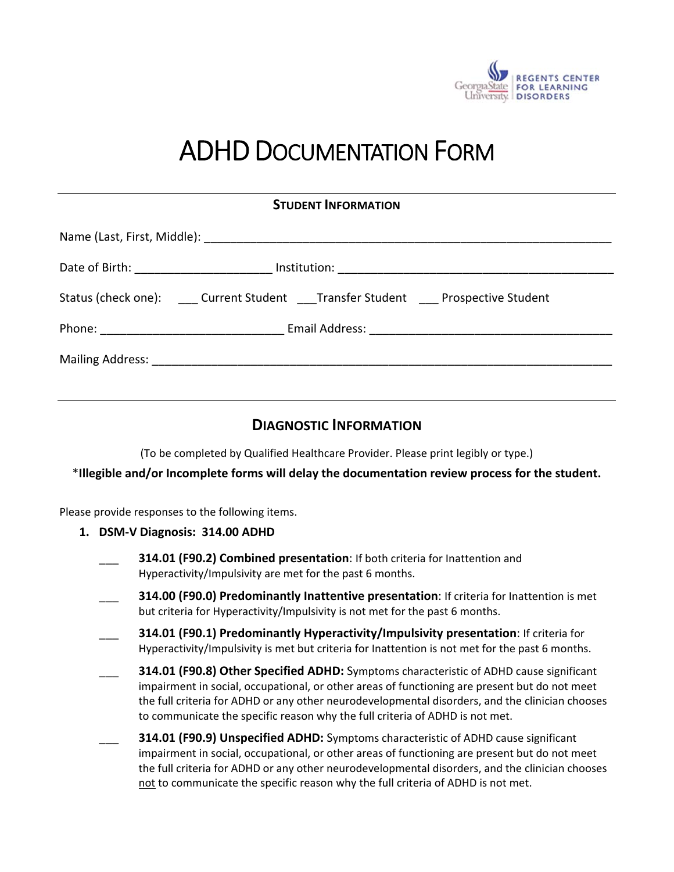

# ADHD DOCUMENTATION FORM

**STUDENT INFORMATION**

| 91996111111191\111A11911                                                 |
|--------------------------------------------------------------------------|
|                                                                          |
|                                                                          |
| Status (check one): Current Student Transfer Student Prospective Student |
|                                                                          |
|                                                                          |

## **DIAGNOSTIC INFORMATION**

(To be completed by Qualified Healthcare Provider. Please print legibly or type.)

\***Illegible and/or Incomplete forms will delay the documentation review process for the student.**

Please provide responses to the following items.

- **1. DSM‐V Diagnosis: 314.00 ADHD** 
	- \_\_\_ **314.01 (F90.2) Combined presentation**: If both criteria for Inattention and Hyperactivity/Impulsivity are met for the past 6 months.
	- \_\_\_ **314.00 (F90.0) Predominantly Inattentive presentation**: If criteria for Inattention is met but criteria for Hyperactivity/Impulsivity is not met for the past 6 months.
	- \_\_\_ **314.01 (F90.1) Predominantly Hyperactivity/Impulsivity presentation**: If criteria for Hyperactivity/Impulsivity is met but criteria for Inattention is not met for the past 6 months.
	- \_\_\_ **314.01 (F90.8) Other Specified ADHD:** Symptoms characteristic of ADHD cause significant impairment in social, occupational, or other areas of functioning are present but do not meet the full criteria for ADHD or any other neurodevelopmental disorders, and the clinician chooses to communicate the specific reason why the full criteria of ADHD is not met.
	- \_\_\_ **314.01 (F90.9) Unspecified ADHD:** Symptoms characteristic of ADHD cause significant impairment in social, occupational, or other areas of functioning are present but do not meet the full criteria for ADHD or any other neurodevelopmental disorders, and the clinician chooses not to communicate the specific reason why the full criteria of ADHD is not met.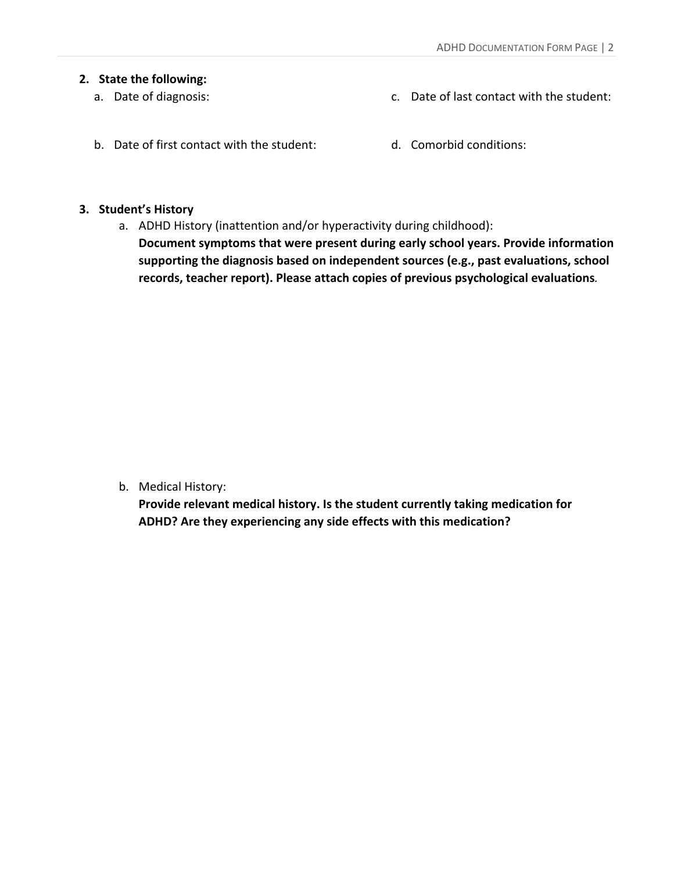#### **2. State the following:**

a. Date of diagnosis:

- c. Date of last contact with the student:
- b. Date of first contact with the student:
- d. Comorbid conditions:

### **3. Student's History**

a. ADHD History (inattention and/or hyperactivity during childhood): **Document symptoms that were present during early school years. Provide information supporting the diagnosis based on independent sources (e.g., past evaluations, school records, teacher report). Please attach copies of previous psychological evaluations***.* 

b. Medical History:

**Provide relevant medical history. Is the student currently taking medication for ADHD? Are they experiencing any side effects with this medication?**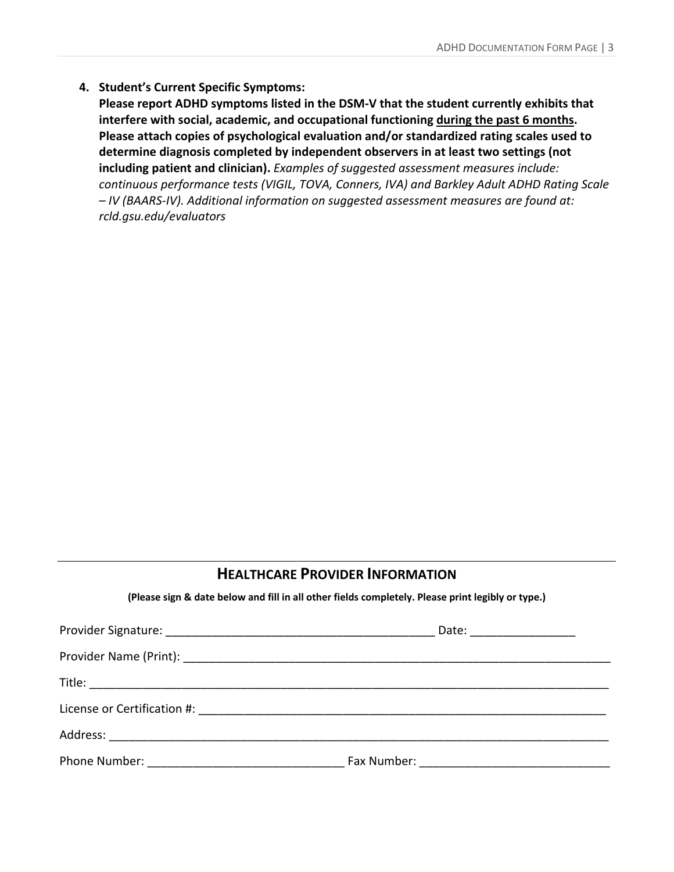### **4. Student's Current Specific Symptoms:**

**Please report ADHD symptoms listed in the DSM‐V that the student currently exhibits that interfere with social, academic, and occupational functioning during the past 6 months. Please attach copies of psychological evaluation and/or standardized rating scales used to determine diagnosis completed by independent observers in at least two settings (not including patient and clinician).** *Examples of suggested assessment measures include: continuous performance tests (VIGIL, TOVA, Conners, IVA) and Barkley Adult ADHD Rating Scale – IV (BAARS‐IV). Additional information on suggested assessment measures are found at: rcld.gsu.edu/evaluators*

## **HEALTHCARE PROVIDER INFORMATION**

**(Please sign & date below and fill in all other fields completely. Please print legibly or type.)** 

| Date: ___________________ |
|---------------------------|
|                           |
|                           |
|                           |
|                           |
|                           |